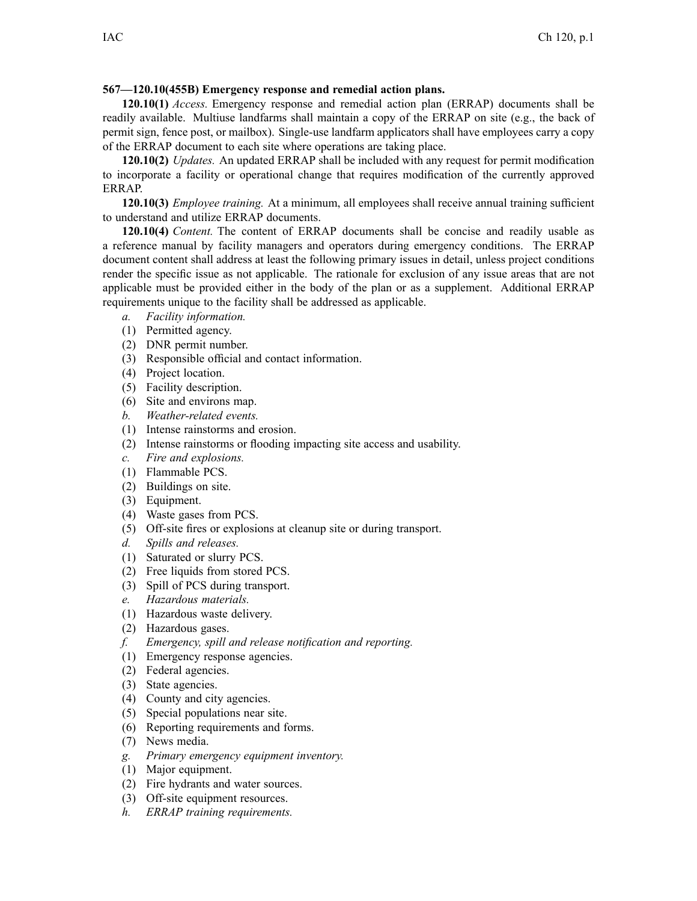## **567—120.10(455B) Emergency response and remedial action plans.**

**120.10(1)** *Access.* Emergency response and remedial action plan (ERRAP) documents shall be readily available. Multiuse landfarms shall maintain <sup>a</sup> copy of the ERRAP on site (e.g., the back of permit sign, fence post, or mailbox). Single-use landfarm applicators shall have employees carry <sup>a</sup> copy of the ERRAP document to each site where operations are taking place.

**120.10(2)** *Updates.* An updated ERRAP shall be included with any reques<sup>t</sup> for permit modification to incorporate <sup>a</sup> facility or operational change that requires modification of the currently approved ERRAP.

**120.10(3)** *Employee training.* At <sup>a</sup> minimum, all employees shall receive annual training sufficient to understand and utilize ERRAP documents.

**120.10(4)** *Content.* The content of ERRAP documents shall be concise and readily usable as <sup>a</sup> reference manual by facility managers and operators during emergency conditions. The ERRAP document content shall address at least the following primary issues in detail, unless project conditions render the specific issue as not applicable. The rationale for exclusion of any issue areas that are not applicable must be provided either in the body of the plan or as <sup>a</sup> supplement. Additional ERRAP requirements unique to the facility shall be addressed as applicable.

- *a. Facility information.*
- (1) Permitted agency.
- (2) DNR permit number.
- (3) Responsible official and contact information.
- (4) Project location.
- (5) Facility description.
- (6) Site and environs map.
- *b. Weather-related events.*
- (1) Intense rainstorms and erosion.
- (2) Intense rainstorms or flooding impacting site access and usability.
- *c. Fire and explosions.*
- (1) Flammable PCS.
- (2) Buildings on site.
- (3) Equipment.
- (4) Waste gases from PCS.
- (5) Off-site fires or explosions at cleanup site or during transport.
- *d. Spills and releases.*
- (1) Saturated or slurry PCS.
- (2) Free liquids from stored PCS.
- (3) Spill of PCS during transport.
- *e. Hazardous materials.*
- (1) Hazardous waste delivery.
- (2) Hazardous gases.
- *f. Emergency, spill and release notification and reporting.*
- (1) Emergency response agencies.
- (2) Federal agencies.
- (3) State agencies.
- (4) County and city agencies.
- (5) Special populations near site.
- (6) Reporting requirements and forms.
- (7) News media.
- *g. Primary emergency equipment inventory.*
- (1) Major equipment.
- (2) Fire hydrants and water sources.
- (3) Off-site equipment resources.
- *h. ERRAP training requirements.*